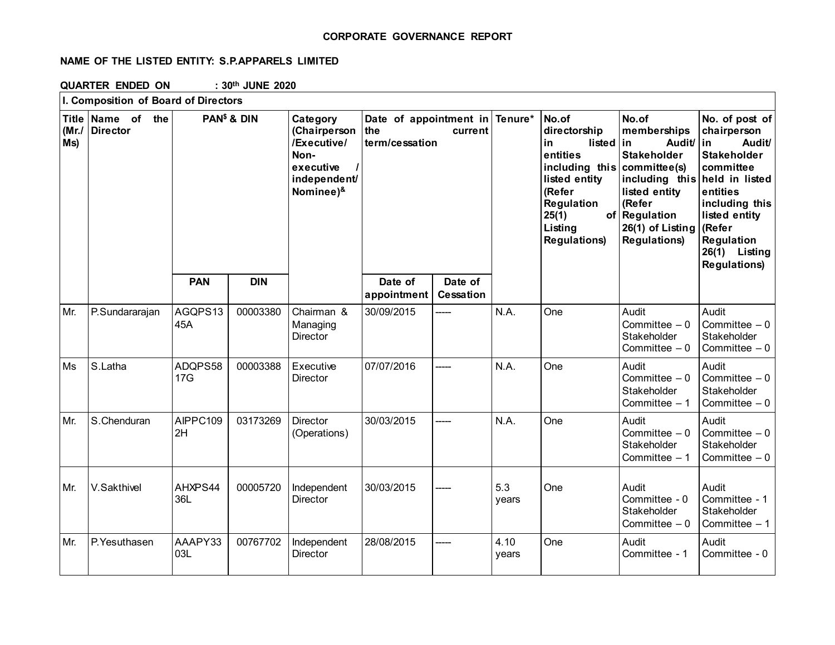## **CORPORATE GOVERNANCE REPORT**

# **NAME OF THE LISTED ENTITY: S.P.APPARELS LIMITED**

**QUARTER ENDED ON : 30th JUNE 2020**

|                                       | I. Composition of Board of Directors |                         |            |                                                                                           |                                                                    |                             |                                                                                                                             |                          |                                                                                                                                                                   |                                                                                                                                                                                                                                          |
|---------------------------------------|--------------------------------------|-------------------------|------------|-------------------------------------------------------------------------------------------|--------------------------------------------------------------------|-----------------------------|-----------------------------------------------------------------------------------------------------------------------------|--------------------------|-------------------------------------------------------------------------------------------------------------------------------------------------------------------|------------------------------------------------------------------------------------------------------------------------------------------------------------------------------------------------------------------------------------------|
| <b>Title</b><br>$(Mr_{\cdot}/$<br>Ms) | Name of the<br><b>Director</b>       | PAN <sup>\$</sup> & DIN |            | Category<br>(Chairperson<br>/Executive/<br>Non-<br>executive<br>independent/<br>Nominee)& | Date of appointment in Tenure*<br>the<br>current<br>term/cessation |                             | No.of<br>directorship<br>in<br>entities<br>listed entity<br>(Refer<br>Regulation<br>25(1)<br>Listing<br><b>Regulations)</b> | listed<br>including this | No.of<br>memberships<br>Audit/<br>in<br><b>Stakeholder</b><br>committee(s)<br>listed entity<br>(Refer<br>of Regulation<br>26(1) of Listing<br><b>Regulations)</b> | No. of post of<br>chairperson<br>Audit/<br>lin<br><b>Stakeholder</b><br>committee<br>including this held in listed<br>entities<br>including this<br>listed entity<br>(Refer<br><b>Regulation</b><br>26(1) Listing<br><b>Regulations)</b> |
|                                       |                                      | <b>PAN</b>              | <b>DIN</b> |                                                                                           | Date of<br>appointment                                             | Date of<br><b>Cessation</b> |                                                                                                                             |                          |                                                                                                                                                                   |                                                                                                                                                                                                                                          |
| Mr.                                   | P.Sundararajan                       | AGQPS13<br>45A          | 00003380   | Chairman &<br>Managing<br>Director                                                        | 30/09/2015                                                         | ----                        | N.A.                                                                                                                        | One                      | Audit<br>Committee $-0$<br>Stakeholder<br>Committee $-0$                                                                                                          | Audit<br>Committee $-0$<br>Stakeholder<br>Committee $-0$                                                                                                                                                                                 |
| Ms                                    | S.Latha                              | ADQPS58<br>17G          | 00003388   | Executive<br>Director                                                                     | 07/07/2016                                                         | ----                        | N.A.                                                                                                                        | One                      | Audit<br>Committee $-0$<br>Stakeholder<br>Committee - 1                                                                                                           | Audit<br>Committee $-0$<br>Stakeholder<br>Committee $-0$                                                                                                                                                                                 |
| Mr.                                   | S.Chenduran                          | AIPPC109<br>2H          | 03173269   | Director<br>(Operations)                                                                  | 30/03/2015                                                         | ----                        | N.A.                                                                                                                        | One                      | Audit<br>Committee $-0$<br>Stakeholder<br>Committee $-1$                                                                                                          | Audit<br>Committee $-0$<br>Stakeholder<br>Committee $-0$                                                                                                                                                                                 |
| Mr.                                   | V.Sakthivel                          | AHXPS44<br>36L          | 00005720   | Independent<br>Director                                                                   | 30/03/2015                                                         |                             | 5.3<br>years                                                                                                                | One                      | Audit<br>Committee - 0<br>Stakeholder<br>Committee $-0$                                                                                                           | Audit<br>Committee - 1<br>Stakeholder<br>Committee $-1$                                                                                                                                                                                  |
| Mr.                                   | P.Yesuthasen                         | AAAPY33<br>03L          | 00767702   | Independent<br>Director                                                                   | 28/08/2015                                                         | ----                        | 4.10<br>years                                                                                                               | One                      | Audit<br>Committee - 1                                                                                                                                            | Audit<br>Committee - 0                                                                                                                                                                                                                   |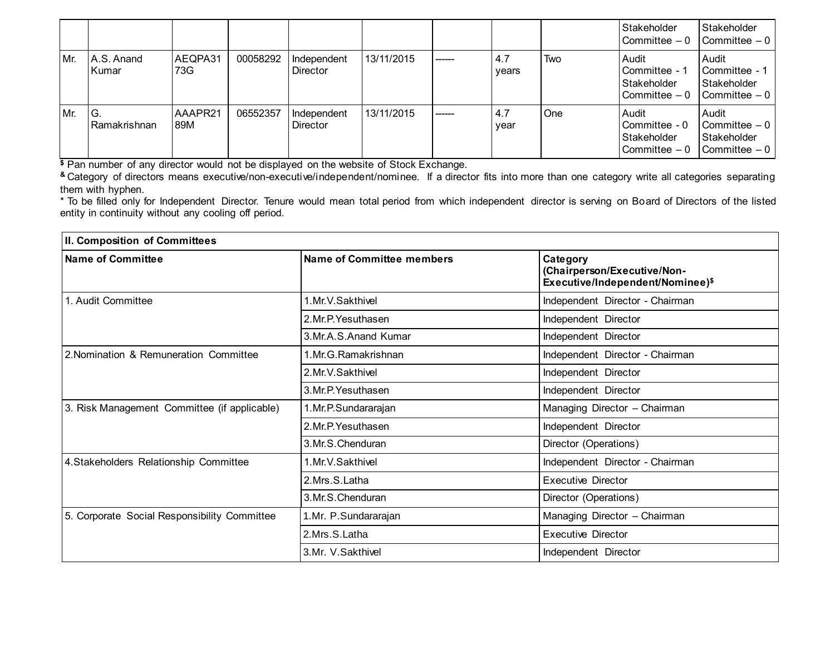|     |                        |                |          |                                |            |         |              |            | Stakeholder<br>l Committee – 0                           | Stakeholder<br>$\mathsf{I}$ Committee $-0$                                           |
|-----|------------------------|----------------|----------|--------------------------------|------------|---------|--------------|------------|----------------------------------------------------------|--------------------------------------------------------------------------------------|
| Mr. | IA.S. Anand<br>l Kumar | AEQPA31<br>73G | 00058292 | Independent<br><b>Director</b> | 13/11/2015 | ------- | 4.7<br>years | Two        | Audit<br>Committee - 1<br>Stakeholder<br>Committee - 0   | <b>Audit</b><br><b>I</b> Committee - 1<br>Stakeholder<br>$\mathsf{I}$ Committee $-0$ |
| Mr. | IG.<br>l Ramakrishnan  | AAAPR21<br>89M | 06552357 | Independent<br><b>Director</b> | 13/11/2015 | ------  | 4.7<br>year  | <b>One</b> | Audit<br>Committee - 0<br>Stakeholder<br>l Committee – 0 | <b>Audit</b><br>l Committee – 0<br>Stakeholder<br>I Committee - 0                    |

**\$** Pan number of any director would not be displayed on the website of Stock Exchange.

**&** Category of directors means executive/non-executive/independent/nominee. If a director fits into more than one category write all categories separating them with hyphen.

\* To be filled only for Independent Director. Tenure would mean total period from which independent director is serving on Board of Directors of the listed entity in continuity without any cooling off period.

| II. Composition of Committees                |                           |                                                                             |  |  |
|----------------------------------------------|---------------------------|-----------------------------------------------------------------------------|--|--|
| <b>Name of Committee</b>                     | Name of Committee members | Category<br>(Chairperson/Executive/Non-<br>Executive/Independent/Nominee)\$ |  |  |
| 1. Audit Committee                           | 1.Mr.V.Sakthivel          | Independent Director - Chairman                                             |  |  |
|                                              | 2.Mr.P. Yesuthasen        | Independent Director                                                        |  |  |
|                                              | 3.Mr.A.S.Anand Kumar      | Independent Director                                                        |  |  |
| 2. Nomination & Remuneration Committee       | 1. Mr. G. Ramakrishnan    | Independent Director - Chairman                                             |  |  |
|                                              | 2. Mr. V. Sakthivel       | Independent Director                                                        |  |  |
|                                              | 3.Mr.P. Yesuthasen        | Independent Director                                                        |  |  |
| 3. Risk Management Committee (if applicable) | 1.Mr.P.Sundararajan       | Managing Director - Chairman                                                |  |  |
|                                              | 2. Mr. P. Yesuthasen      | Independent Director                                                        |  |  |
|                                              | 3.Mr.S.Chenduran          | Director (Operations)                                                       |  |  |
| 4. Stakeholders Relationship Committee       | 1. Mr. V. Sakthivel       | Independent Director - Chairman                                             |  |  |
|                                              | 2.Mrs.S.Latha             | <b>Executive Director</b>                                                   |  |  |
|                                              | 3. Mr. S. Chenduran       | Director (Operations)                                                       |  |  |
| 5. Corporate Social Responsibility Committee | 1.Mr. P.Sundararajan      | Managing Director - Chairman                                                |  |  |
|                                              | 2.Mrs.S.Latha             | <b>Executive Director</b>                                                   |  |  |
|                                              | 3.Mr. V.Sakthivel         | Independent Director                                                        |  |  |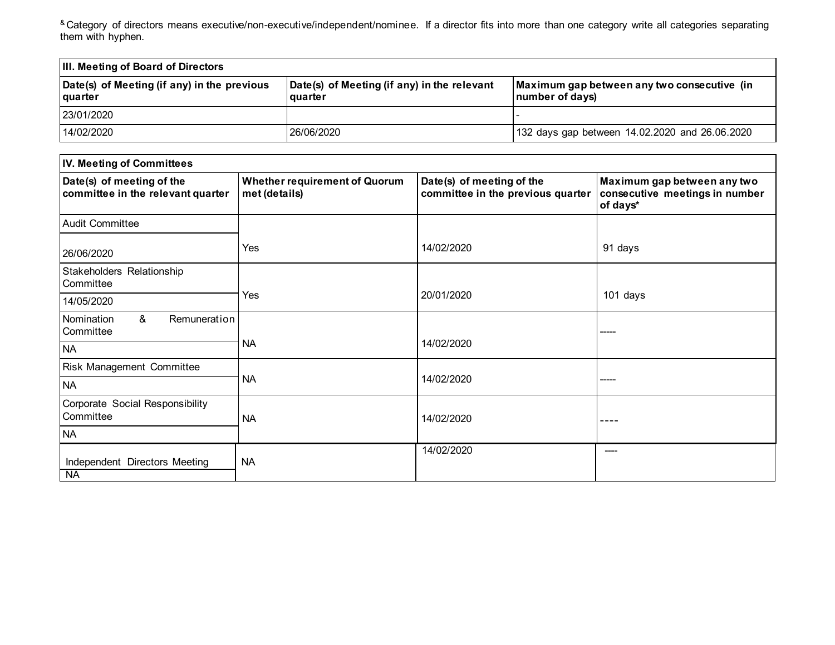<sup>&</sup> Category of directors means executive/non-executive/independent/nominee. If a director fits into more than one category write all categories separating them with hyphen.

| <b>III. Meeting of Board of Directors</b>                     |                                                                 |                                                                |  |  |
|---------------------------------------------------------------|-----------------------------------------------------------------|----------------------------------------------------------------|--|--|
| Date(s) of Meeting (if any) in the previous<br><b>quarter</b> | Date(s) of Meeting (if any) in the relevant<br><b>l</b> quarter | Maximum gap between any two consecutive (in<br>number of days) |  |  |
| 23/01/2020                                                    |                                                                 |                                                                |  |  |
| 14/02/2020                                                    | 26/06/2020                                                      | 132 days gap between 14.02.2020 and 26.06.2020                 |  |  |

| <b>IV. Meeting of Committees</b>                               |                                                       |                                                                |                                                                           |  |  |
|----------------------------------------------------------------|-------------------------------------------------------|----------------------------------------------------------------|---------------------------------------------------------------------------|--|--|
| Date(s) of meeting of the<br>committee in the relevant quarter | <b>Whether requirement of Quorum</b><br>met (details) | Date(s) of meeting of the<br>committee in the previous quarter | Maximum gap between any two<br>consecutive meetings in number<br>of days* |  |  |
| <b>Audit Committee</b>                                         |                                                       |                                                                |                                                                           |  |  |
| 26/06/2020                                                     | Yes                                                   | 14/02/2020                                                     | 91 days                                                                   |  |  |
| Stakeholders Relationship<br>Committee                         |                                                       |                                                                |                                                                           |  |  |
| 14/05/2020                                                     | Yes                                                   | 20/01/2020                                                     | 101 days                                                                  |  |  |
| &<br>Remuneration<br>l Nomination<br>Committee                 |                                                       |                                                                |                                                                           |  |  |
| <b>NA</b>                                                      | <b>NA</b>                                             | 14/02/2020                                                     |                                                                           |  |  |
| <b>Risk Management Committee</b>                               |                                                       |                                                                |                                                                           |  |  |
| <b>NA</b>                                                      | <b>NA</b>                                             | 14/02/2020                                                     |                                                                           |  |  |
| Corporate Social Responsibility<br>Committee                   | <b>NA</b>                                             | 14/02/2020                                                     |                                                                           |  |  |
| <b>NA</b>                                                      |                                                       |                                                                |                                                                           |  |  |
| Independent Directors Meeting<br><b>NA</b>                     | <b>NA</b>                                             | 14/02/2020                                                     |                                                                           |  |  |